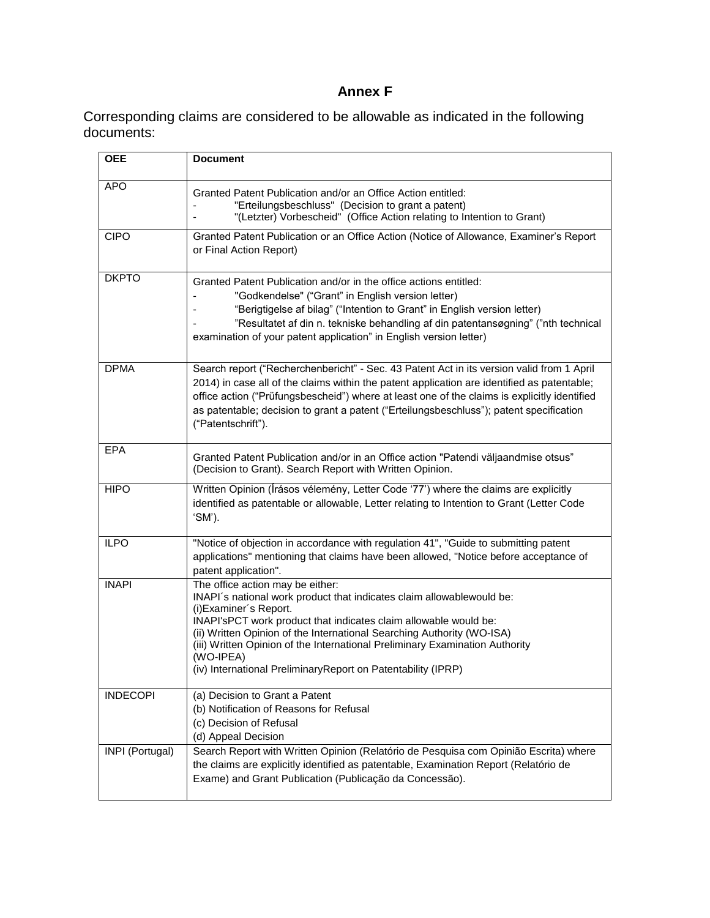## **Annex F**

Corresponding claims are considered to be allowable as indicated in the following documents:

| <b>OEE</b>      | <b>Document</b>                                                                                                                                                                                                                                                                                                                                                                                                                                |
|-----------------|------------------------------------------------------------------------------------------------------------------------------------------------------------------------------------------------------------------------------------------------------------------------------------------------------------------------------------------------------------------------------------------------------------------------------------------------|
| <b>APO</b>      | Granted Patent Publication and/or an Office Action entitled:<br>"Erteilungsbeschluss" (Decision to grant a patent)<br>"(Letzter) Vorbescheid" (Office Action relating to Intention to Grant)                                                                                                                                                                                                                                                   |
| <b>CIPO</b>     | Granted Patent Publication or an Office Action (Notice of Allowance, Examiner's Report<br>or Final Action Report)                                                                                                                                                                                                                                                                                                                              |
| <b>DKPTO</b>    | Granted Patent Publication and/or in the office actions entitled:<br>"Godkendelse" ("Grant" in English version letter)<br>"Berigtigelse af bilag" ("Intention to Grant" in English version letter)<br>"Resultatet af din n. tekniske behandling af din patentansøgning" ("nth technical<br>examination of your patent application" in English version letter)                                                                                  |
| <b>DPMA</b>     | Search report ("Recherchenbericht" - Sec. 43 Patent Act in its version valid from 1 April<br>2014) in case all of the claims within the patent application are identified as patentable;<br>office action ("Prüfungsbescheid") where at least one of the claims is explicitly identified<br>as patentable; decision to grant a patent ("Erteilungsbeschluss"); patent specification<br>("Patentschrift").                                      |
| <b>EPA</b>      | Granted Patent Publication and/or in an Office action "Patendi väljaandmise otsus"<br>(Decision to Grant). Search Report with Written Opinion.                                                                                                                                                                                                                                                                                                 |
| <b>HIPO</b>     | Written Opinion (Írásos vélemény, Letter Code '77') where the claims are explicitly<br>identified as patentable or allowable, Letter relating to Intention to Grant (Letter Code<br>'SM').                                                                                                                                                                                                                                                     |
| <b>ILPO</b>     | "Notice of objection in accordance with regulation 41", "Guide to submitting patent<br>applications" mentioning that claims have been allowed, "Notice before acceptance of<br>patent application".                                                                                                                                                                                                                                            |
| <b>INAPI</b>    | The office action may be either:<br>INAPI's national work product that indicates claim allowablewould be:<br>(i) Examiner's Report.<br>INAPI'sPCT work product that indicates claim allowable would be:<br>(ii) Written Opinion of the International Searching Authority (WO-ISA)<br>(iii) Written Opinion of the International Preliminary Examination Authority<br>(WO-IPEA)<br>(iv) International PreliminaryReport on Patentability (IPRP) |
| <b>INDECOPI</b> | (a) Decision to Grant a Patent<br>(b) Notification of Reasons for Refusal<br>(c) Decision of Refusal<br>(d) Appeal Decision                                                                                                                                                                                                                                                                                                                    |
| INPI (Portugal) | Search Report with Written Opinion (Relatório de Pesquisa com Opinião Escrita) where<br>the claims are explicitly identified as patentable, Examination Report (Relatório de<br>Exame) and Grant Publication (Publicação da Concessão).                                                                                                                                                                                                        |